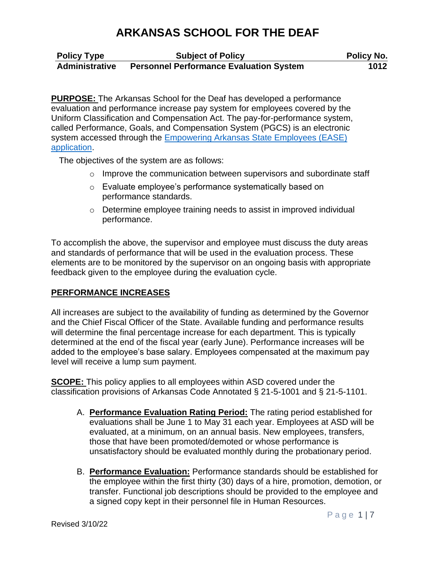| <b>Policy Type</b>    | <b>Subject of Policy</b>                       | <b>Policy No.</b> |
|-----------------------|------------------------------------------------|-------------------|
| <b>Administrative</b> | <b>Personnel Performance Evaluation System</b> | 1012              |

**PURPOSE:** The Arkansas School for the Deaf has developed a performance evaluation and performance increase pay system for employees covered by the Uniform Classification and Compensation Act. The pay-for-performance system, called Performance, Goals, and Compensation System (PGCS) is an electronic system accessed through the Empowering Arkansas State Employees (EASE) application.

The objectives of the system are as follows:

- $\circ$  Improve the communication between supervisors and subordinate staff
- o Evaluate employee's performance systematically based on performance standards.
- o Determine employee training needs to assist in improved individual performance.

To accomplish the above, the supervisor and employee must discuss the duty areas and standards of performance that will be used in the evaluation process. These elements are to be monitored by the supervisor on an ongoing basis with appropriate feedback given to the employee during the evaluation cycle.

### **PERFORMANCE INCREASES**

All increases are subject to the availability of funding as determined by the Governor and the Chief Fiscal Officer of the State. Available funding and performance results will determine the final percentage increase for each department. This is typically determined at the end of the fiscal year (early June). Performance increases will be added to the employee's base salary. Employees compensated at the maximum pay level will receive a lump sum payment.

**SCOPE:** This policy applies to all employees within ASD covered under the classification provisions of Arkansas Code Annotated § 21-5-1001 and § 21-5-1101.

- A. **Performance Evaluation Rating Period:** The rating period established for evaluations shall be June 1 to May 31 each year. Employees at ASD will be evaluated, at a minimum, on an annual basis. New employees, transfers, those that have been promoted/demoted or whose performance is unsatisfactory should be evaluated monthly during the probationary period.
- B. **Performance Evaluation:** Performance standards should be established for the employee within the first thirty (30) days of a hire, promotion, demotion, or transfer. Functional job descriptions should be provided to the employee and a signed copy kept in their personnel file in Human Resources.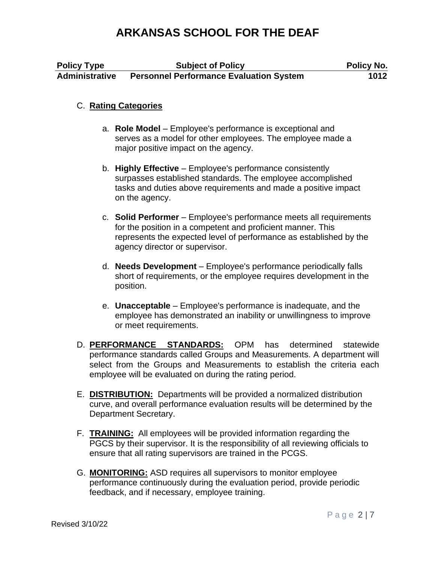| <b>Policy Type</b>    | <b>Subject of Policy</b>                       | <b>Policy No.</b> |
|-----------------------|------------------------------------------------|-------------------|
| <b>Administrative</b> | <b>Personnel Performance Evaluation System</b> | 1012              |

### C. **Rating Categories**

- a. **Role Model**  Employee's performance is exceptional and serves as a model for other employees. The employee made a major positive impact on the agency.
- b. **Highly Effective**  Employee's performance consistently surpasses established standards. The employee accomplished tasks and duties above requirements and made a positive impact on the agency.
- c. **Solid Performer**  Employee's performance meets all requirements for the position in a competent and proficient manner. This represents the expected level of performance as established by the agency director or supervisor.
- d. **Needs Development**  Employee's performance periodically falls short of requirements, or the employee requires development in the position.
- e. **Unacceptable**  Employee's performance is inadequate, and the employee has demonstrated an inability or unwillingness to improve or meet requirements.
- D. **PERFORMANCE STANDARDS:** OPM has determined statewide performance standards called Groups and Measurements. A department will select from the Groups and Measurements to establish the criteria each employee will be evaluated on during the rating period.
- E. **DISTRIBUTION:** Departments will be provided a normalized distribution curve, and overall performance evaluation results will be determined by the Department Secretary.
- F. **TRAINING:** All employees will be provided information regarding the PGCS by their supervisor. It is the responsibility of all reviewing officials to ensure that all rating supervisors are trained in the PCGS.
- G. **MONITORING:** ASD requires all supervisors to monitor employee performance continuously during the evaluation period, provide periodic feedback, and if necessary, employee training.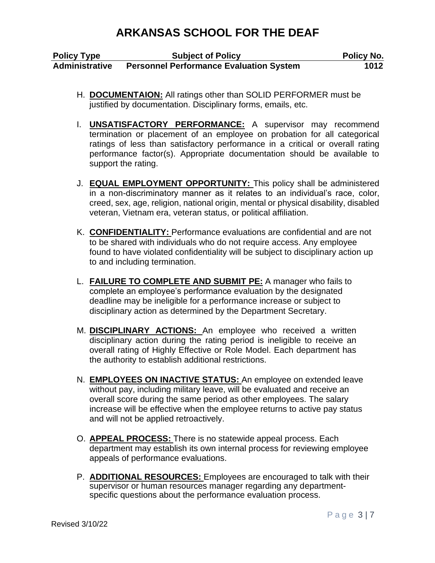| <b>Policy Type</b>    | <b>Subject of Policy</b>                       | <b>Policy No.</b> |
|-----------------------|------------------------------------------------|-------------------|
| <b>Administrative</b> | <b>Personnel Performance Evaluation System</b> | 1012              |

- H. **DOCUMENTAION:** All ratings other than SOLID PERFORMER must be justified by documentation. Disciplinary forms, emails, etc.
- I. **UNSATISFACTORY PERFORMANCE:** A supervisor may recommend termination or placement of an employee on probation for all categorical ratings of less than satisfactory performance in a critical or overall rating performance factor(s). Appropriate documentation should be available to support the rating.
- J. **EQUAL EMPLOYMENT OPPORTUNITY:** This policy shall be administered in a non-discriminatory manner as it relates to an individual's race, color, creed, sex, age, religion, national origin, mental or physical disability, disabled veteran, Vietnam era, veteran status, or political affiliation.
- K. **CONFIDENTIALITY:** Performance evaluations are confidential and are not to be shared with individuals who do not require access. Any employee found to have violated confidentiality will be subject to disciplinary action up to and including termination.
- L. **FAILURE TO COMPLETE AND SUBMIT PE:** A manager who fails to complete an employee's performance evaluation by the designated deadline may be ineligible for a performance increase or subject to disciplinary action as determined by the Department Secretary.
- M. **DISCIPLINARY ACTIONS:** An employee who received a written disciplinary action during the rating period is ineligible to receive an overall rating of Highly Effective or Role Model. Each department has the authority to establish additional restrictions.
- N. **EMPLOYEES ON INACTIVE STATUS:** An employee on extended leave without pay, including military leave, will be evaluated and receive an overall score during the same period as other employees. The salary increase will be effective when the employee returns to active pay status and will not be applied retroactively.
- O. **APPEAL PROCESS:** There is no statewide appeal process. Each department may establish its own internal process for reviewing employee appeals of performance evaluations.
- P. **ADDITIONAL RESOURCES:** Employees are encouraged to talk with their supervisor or human resources manager regarding any departmentspecific questions about the performance evaluation process.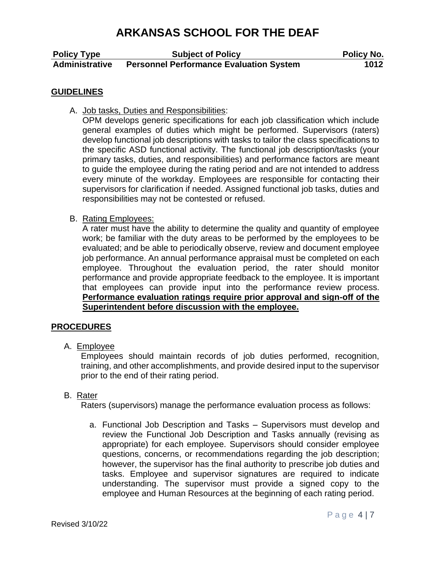| <b>Policy Type</b>    | <b>Subject of Policy</b>                       | <b>Policy No.</b> |
|-----------------------|------------------------------------------------|-------------------|
| <b>Administrative</b> | <b>Personnel Performance Evaluation System</b> | 1012              |

#### **GUIDELINES**

A. Job tasks, Duties and Responsibilities:

OPM develops generic specifications for each job classification which include general examples of duties which might be performed. Supervisors (raters) develop functional job descriptions with tasks to tailor the class specifications to the specific ASD functional activity. The functional job description/tasks (your primary tasks, duties, and responsibilities) and performance factors are meant to guide the employee during the rating period and are not intended to address every minute of the workday. Employees are responsible for contacting their supervisors for clarification if needed. Assigned functional job tasks, duties and responsibilities may not be contested or refused.

B. Rating Employees:

A rater must have the ability to determine the quality and quantity of employee work; be familiar with the duty areas to be performed by the employees to be evaluated; and be able to periodically observe, review and document employee job performance. An annual performance appraisal must be completed on each employee. Throughout the evaluation period, the rater should monitor performance and provide appropriate feedback to the employee. It is important that employees can provide input into the performance review process. **Performance evaluation ratings require prior approval and sign-off of the Superintendent before discussion with the employee.** 

### **PROCEDURES**

A. Employee

Employees should maintain records of job duties performed, recognition, training, and other accomplishments, and provide desired input to the supervisor prior to the end of their rating period.

#### B. Rater

Raters (supervisors) manage the performance evaluation process as follows:

a. Functional Job Description and Tasks – Supervisors must develop and review the Functional Job Description and Tasks annually (revising as appropriate) for each employee. Supervisors should consider employee questions, concerns, or recommendations regarding the job description; however, the supervisor has the final authority to prescribe job duties and tasks. Employee and supervisor signatures are required to indicate understanding. The supervisor must provide a signed copy to the employee and Human Resources at the beginning of each rating period.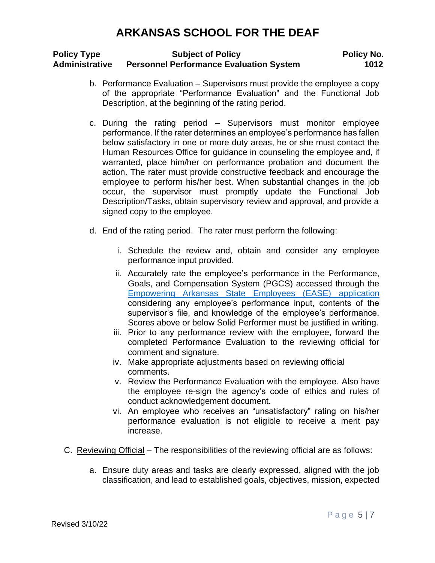| <b>Policy Type</b>    | <b>Subject of Policy</b>                       | <b>Policy No.</b> |
|-----------------------|------------------------------------------------|-------------------|
| <b>Administrative</b> | <b>Personnel Performance Evaluation System</b> | 1012              |

- b. Performance Evaluation Supervisors must provide the employee a copy of the appropriate "Performance Evaluation" and the Functional Job Description, at the beginning of the rating period.
- c. During the rating period Supervisors must monitor employee performance. If the rater determines an employee's performance has fallen below satisfactory in one or more duty areas, he or she must contact the Human Resources Office for guidance in counseling the employee and, if warranted, place him/her on performance probation and document the action. The rater must provide constructive feedback and encourage the employee to perform his/her best. When substantial changes in the job occur, the supervisor must promptly update the Functional Job Description/Tasks, obtain supervisory review and approval, and provide a signed copy to the employee.
- d. End of the rating period. The rater must perform the following:
	- i. Schedule the review and, obtain and consider any employee performance input provided.
	- ii. Accurately rate the employee's performance in the Performance, Goals, and Compensation System (PGCS) accessed through the Empowering Arkansas State Employees (EASE) application considering any employee's performance input, contents of the supervisor's file, and knowledge of the employee's performance. Scores above or below Solid Performer must be justified in writing.
	- iii. Prior to any performance review with the employee, forward the completed Performance Evaluation to the reviewing official for comment and signature.
	- iv. Make appropriate adjustments based on reviewing official comments.
	- v. Review the Performance Evaluation with the employee. Also have the employee re-sign the agency's code of ethics and rules of conduct acknowledgement document.
	- vi. An employee who receives an "unsatisfactory" rating on his/her performance evaluation is not eligible to receive a merit pay increase.
- C. Reviewing Official The responsibilities of the reviewing official are as follows:
	- a. Ensure duty areas and tasks are clearly expressed, aligned with the job classification, and lead to established goals, objectives, mission, expected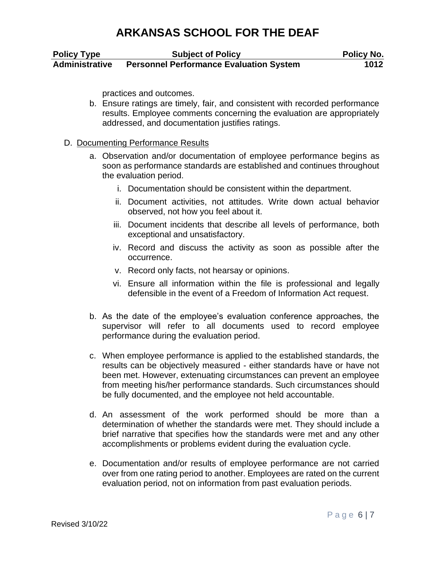| <b>Policy Type</b>    | <b>Subject of Policy</b>                       | <b>Policy No.</b> |
|-----------------------|------------------------------------------------|-------------------|
| <b>Administrative</b> | <b>Personnel Performance Evaluation System</b> | 1012              |

practices and outcomes.

b. Ensure ratings are timely, fair, and consistent with recorded performance results. Employee comments concerning the evaluation are appropriately addressed, and documentation justifies ratings.

#### D. Documenting Performance Results

- a. Observation and/or documentation of employee performance begins as soon as performance standards are established and continues throughout the evaluation period.
	- i. Documentation should be consistent within the department.
	- ii. Document activities, not attitudes. Write down actual behavior observed, not how you feel about it.
	- iii. Document incidents that describe all levels of performance, both exceptional and unsatisfactory.
	- iv. Record and discuss the activity as soon as possible after the occurrence.
	- v. Record only facts, not hearsay or opinions.
	- vi. Ensure all information within the file is professional and legally defensible in the event of a Freedom of Information Act request.
- b. As the date of the employee's evaluation conference approaches, the supervisor will refer to all documents used to record employee performance during the evaluation period.
- c. When employee performance is applied to the established standards, the results can be objectively measured - either standards have or have not been met. However, extenuating circumstances can prevent an employee from meeting his/her performance standards. Such circumstances should be fully documented, and the employee not held accountable.
- d. An assessment of the work performed should be more than a determination of whether the standards were met. They should include a brief narrative that specifies how the standards were met and any other accomplishments or problems evident during the evaluation cycle.
- e. Documentation and/or results of employee performance are not carried over from one rating period to another. Employees are rated on the current evaluation period, not on information from past evaluation periods.